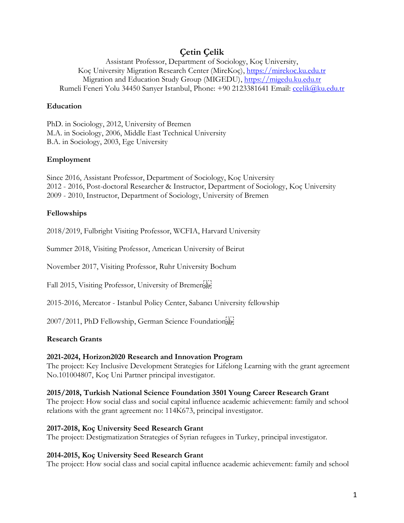# **Çetin Çelik**

Assistant Professor, Department of Sociology, Koç University, Koç University Migration Research Center (MireKoç), [https://mirekoc.ku.edu.tr](https://mirekoc.ku.edu.tr/) Migration and Education Study Group (MIGEDU), [https://migedu.ku.edu.tr](https://migedu.ku.edu.tr/) Rumeli Feneri Yolu 34450 Sarıyer Istanbul, Phone: +90 2123381641 Email: [ccelik@ku.edu.tr](mailto:ccelik@ku.edu.tr)

### **Education**

PhD. in Sociology, 2012, University of Bremen M.A. in Sociology, 2006, Middle East Technical University B.A. in Sociology, 2003, Ege University

## **Employment**

Since 2016, Assistant Professor, Department of Sociology, Koç University 2012 - 2016, Post-doctoral Researcher & Instructor, Department of Sociology, Koç University 2009 - 2010, Instructor, Department of Sociology, University of Bremen

# **Fellowships**

2018/2019, Fulbright Visiting Professor, WCFIA, Harvard University

Summer 2018, Visiting Professor, American University of Beirut

November 2017, Visiting Professor, Ruhr University Bochum

Fall 2015, Visiting Professor, University of Bremenser

2015-2016, Mercator - Istanbul Policy Center, Sabancı University fellowship

2007/2011, PhD Fellowship, German Science Foundationsen

### **Research Grants**

### **2021-2024, Horizon2020 Research and Innovation Program**

The project: Key Inclusive Development Strategies for Lifelong Learning with the grant agreement No.101004807, Koç Uni Partner principal investigator.

### **2015/2018, Turkish National Science Foundation 3501 Young Career Research Grant**

The project: How social class and social capital influence academic achievement: family and school relations with the grant agreement no: 114K673, principal investigator.

### **2017-2018, Koç University Seed Research Grant**

The project: Destigmatization Strategies of Syrian refugees in Turkey, principal investigator.

### **2014-2015, Koç University Seed Research Grant**

The project: How social class and social capital influence academic achievement: family and school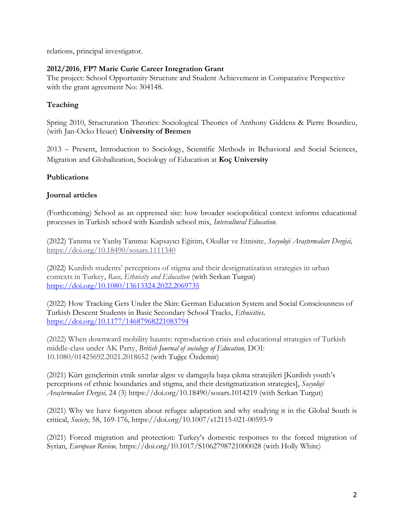relations, principal investigator.

### **2012/2016**, **FP7 Marie Curie Career Integration Grant**

The project: School Opportunity Structure and Student Achievement in Comparative Perspective with the grant agreement No: 304148.

# **Teaching**

Spring 2010, Structuration Theories: Sociological Theories of Anthony Giddens & Pierre Bourdieu, (with Jan-Ocko Heuer) **University of Bremen**

2013 – Present, Introduction to Sociology, Scientific Methods in Behavioral and Social Sciences, Migration and Globalization, Sociology of Education at **Koç University**

### **Publications**

### **Journal articles**

(Forthcoming) School as an oppressed site: how broader sociopolitical context informs educational processes in Turkish school with Kurdish school mix, *Intercultural Education.*

(2022) Tanıma ve Yanlış Tanıma: Kapsayıcı Eğitim, Okullar ve Etnisite, *Sosyoloji Araştırmaları Dergisi,*  <https://doi.org/10.18490/sosars.1111340>

(2022) Kurdish students' perceptions of stigma and their destigmatization strategies in urban contexts in Turkey, *Race, Ethnicity and Education* (with Serkan Turgut) <https://doi.org/10.1080/13613324.2022.2069735>

(2022) How Tracking Gets Under the Skin: German Education System and Social Consciousness of Turkish Descent Students in Basic Secondary School Tracks, *Ethnicities,* <https://doi.org/10.1177/14687968221083794>

(2022) When downward mobility haunts: reproduction crisis and educational strategies of Turkish middle-class under AK Party, *British Journal of sociology of Education,* DOI: 10.1080/01425692.2021.2018652 (with Tuğçe Özdemir)

(2021) Kürt gençlerinin etnik sınırlar algısı ve damgayla başa çıkma stratejileri [Kurdish youth's perceptions of ethnic boundaries and stigma, and their destigmatization strategies], *Sosyoloji Araştırmaları Dergisi,* 24 (3)<https://doi.org/10.18490/sosars.1014219> (with Serkan Turgut)

(2021) Why we have forgotten about refugee adaptation and why studying it in the Global South is critical, *Society,* 58, 169-176, https://doi.org/10.1007/s12115-021-00593-9

(2021) Forced migration and protection: Turkey's domestic responses to the forced migration of Syrian, *European Review,* <https://doi.org/10.1017/S1062798721000028> (with Holly White)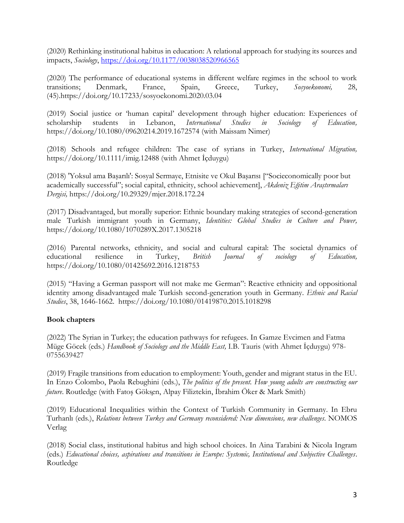(2020) Rethinking institutional habitus in education: A relational approach for studying its sources and impacts, *Sociology*,<https://doi.org/10.1177/0038038520966565>

(2020) The performance of educational systems in different welfare regimes in the school to work transitions; Denmark, France, Spain, Greece, Turkey, *Sosyoekonomi,* 28, (45[\).https://doi.org/10.17233/sosyoekonomi.2020.03.04](https://doi.org/10.17233/sosyoekonomi.2020.03.04)

(2019) Social justice or 'human capital' development through higher education: Experiences of scholarship students in Lebanon, *International Studies in Sociology of Education,*  <https://doi.org/10.1080/09620214.2019.1672574> (with Maissam Nimer)

(2018) Schools and refugee children: The case of syrians in Turkey, *International Migration,* <https://doi.org/10.1111/imig.12488> (with Ahmet İçduygu)

(2018) 'Yoksul ama Başarılı': Sosyal Sermaye, Etnisite ve Okul Başarısı ["Socieconomically poor but academically successful"; social capital, ethnicity, school achievement], *Akdeniz Eğitim Araştırmaları Dergisi,* https://doi.org/10.29329/mjer.2018.172.24

(2017) Disadvantaged, but morally superior: Ethnic boundary making strategies of second-generation male Turkish immigrant youth in Germany, *Identities: Global Studies in Culture and Power,*  <https://doi.org/10.1080/1070289X.2017.1305218>

(2016) Parental networks, ethnicity, and social and cultural capital: The societal dynamics of educational resilience in Turkey, *British Journal of sociology of Education,*  <https://doi.org/10.1080/01425692.2016.1218753>

(2015) "Having a German passport will not make me German": Reactive ethnicity and oppositional identity among disadvantaged male Turkish second-generation youth in Germany. *Ethnic and Racial Studies*, 38, 1646-1662. https://doi.org/10.1080/01419870.2015.1018298

### **Book chapters**

(2022) The Syrian in Turkey; the education pathways for refugees. In Gamze Evcimen and Fatma Müge Göcek (eds.) *Handbook of Sociology and the Middle East,* I.B. Tauris (with Ahmet İçduygu) 978- 0755639427

(2019) Fragile transitions from education to employment: Youth, gender and migrant status in the EU. In Enzo Colombo, Paola Rebughini (eds.), *The politics of the present. How young adults are constructing our future*. Routledge (with Fatoş Gökşen, Alpay Filiztekin, İbrahim Öker & Mark Smith)

(2019) Educational Inequalities within the Context of Turkish Community in Germany. In Ebru Turhanlı (eds.), *Relations between Turkey and Germany reconsidered: New dimensions, new challenges*. NOMOS Verlag

(2018) Social class, institutional habitus and high school choices. In Aina Tarabini & Nicola Ingram (eds.) *Educational choices, aspirations and transitions in Europe: Systemic, Institutional and Subjective Challenges*. Routledge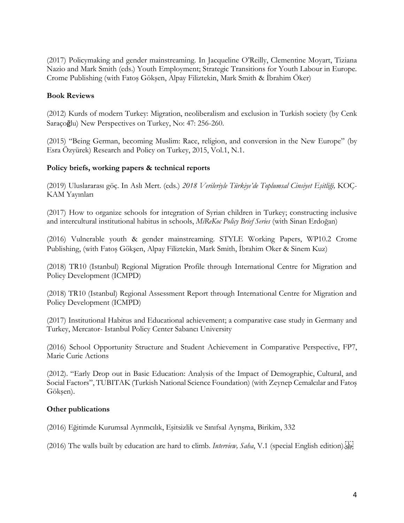(2017) Policymaking and gender mainstreaming. In Jacqueline O'Reilly, Clementine Moyart, Tiziana Nazio and Mark Smith (eds.) Youth Employment; Strategic Transitions for Youth Labour in Europe. Crome Publishing (with Fatoş Gökşen, Alpay Filiztekin, Mark Smith & İbrahim Öker)

#### **Book Reviews**

(2012) Kurds of modern Turkey: Migration, neoliberalism and exclusion in Turkish society (by Cenk Saraçoğlu) New Perspectives on Turkey, No: 47: 256-260.

(2015) "Being German, becoming Muslim: Race, religion, and conversion in the New Europe" (by Esra Özyürek) Research and Policy on Turkey, 2015, Vol.1, N.1.

#### **Policy briefs, working papers & technical reports**

(2019) Uluslararası göç. In Aslı Mert. (eds.) *2018 Verileriyle Türkiye'de Toplumsal Cinsiyet Eşitliği,* KOÇ-KAM Yayınları

(2017) How to organize schools for integration of Syrian children in Turkey; constructing inclusive and intercultural institutional habitus in schools, *MiReKoc Policy Brief Series* (with Sinan Erdoğan)

(2016) Vulnerable youth & gender mainstreaming. STYLE Working Papers, WP10.2 Crome Publishing, (with Fatos Göksen, Alpay Filiztekin, Mark Smith, İbrahim Oker & Sinem Kuz)

(2018) TR10 (Istanbul) Regional Migration Profile through International Centre for Migration and Policy Development (ICMPD)

(2018) TR10 (Istanbul) Regional Assessment Report through International Centre for Migration and Policy Development (ICMPD)

(2017) Institutional Habitus and Educational achievement; a comparative case study in Germany and Turkey, Mercator- Istanbul Policy Center Sabancı University

(2016) School Opportunity Structure and Student Achievement in Comparative Perspective, FP7, Marie Curie Actions

(2012). "Early Drop out in Basic Education: Analysis of the Impact of Demographic, Cultural, and Social Factors", TUBITAK (Turkish National Science Foundation) (with Zeynep Cemalcılar and Fatoş Gökşen).

#### **Other publications**

(2016) Eğitimde Kurumsal Ayrımcılık, Eşitsizlik ve Sınıfsal Ayrışma, Birikim, 332

(2016) The walls built by education are hard to climb. *Interview, Saha*, V.1 (special English edition).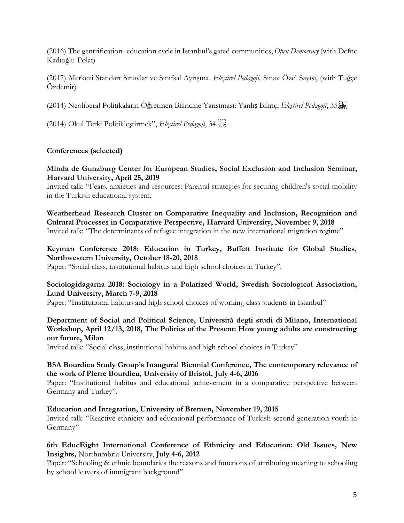(2016) The gentrification- education cycle in Istanbul's gated communities, *Open Democracy* (with Defne Kadıoğlu-Polat)

(2017) Merkezi Standart Sınavlar ve Sınıfsal Ayrışma. *Eleştirel Pedagoji,* Sınav Özel Sayısı, (with Tuğçe Özdemir)

(2014) Neoliberal Politikaların Öğretmen Bilincine Yansıması: Yanlış Bilinç, *Eleştirel Pedagoji*, 35.

(2014) Okul Terki Politikleştirmek", *Eleştirel Pedagoji*, 34.

### **Conferences (selected)**

#### **Minda de Gunzburg Center for European Studies, Social Exclusion and Inclusion Seminar, Harvard University, April 25, 2019**

Invited talk: "Fears, anxieties and resources: Parental strategies for securing children's social mobility in the Turkish educational system.

**Weatherhead Research Cluster on Comparative Inequality and Inclusion, Recognition and Cultural Processes in Comparative Perspective, Harvard University, November 9, 2018** Invited talk: "The determinants of refugee integration in the new international migration regime"

### **Keyman Conference 2018: Education in Turkey, Buffett Institute for Global Studies, Northwestern University, October 18-20, 2018**

Paper: "Social class, institutional habitus and high school choices in Turkey".

#### **Sociologidagarna 2018: Sociology in a Polarized World, Swedish Sociological Association, Lund University, March 7-9, 2018**

Paper: "Institutional habitus and high school choices of working class students in Istanbul"

### **Department of Social and Political Science, Università degli studi di Milano, International Workshop, April 12/13, 2018, The Politics of the Present: How young adults are constructing our future, Milan**

Invited talk: "Social class, institutional habitus and high school choices in Turkey"

### **BSA Bourdieu Study Group's Inaugural Biennial Conference, The contemporary relevance of the work of Pierre Bourdieu, University of Bristol, July 4-6, 2016**

Paper: "Institutional habitus and educational achievement in a comparative perspective between Germany and Turkey".

#### **Education and Integration, University of Bremen, November 19, 2015**

Invited talk: "Reactive ethnicity and educational performance of Turkish second generation youth in Germany"

### **6th EducEight International Conference of Ethnicity and Education: Old Issues, New Insights,** Northumbria University, **July 4-6, 2012**

Paper: "Schooling & ethnic boundaries the reasons and functions of attributing meaning to schooling by school leavers of immigrant background"